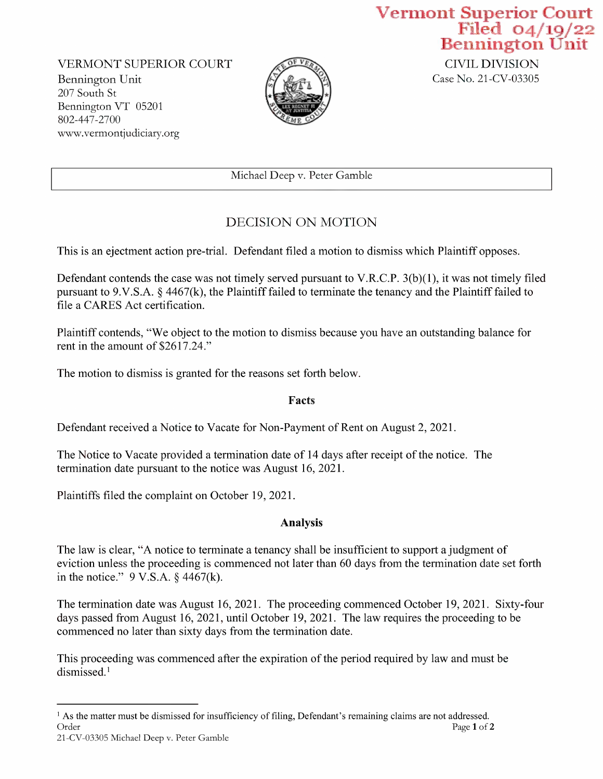VERMONT SUPERIOR COURT<br>
Bennington Unit Case No. 21-CV-03305 Bennington Unit 207 South St Bennington VT <sup>05201</sup> 802-447-2700 WWW.Vermontjudiciary.org



Vermont Superior Court<br>Filed 04/19/22<br>Bennington Unit<br>CIVIL DIVISION

Michael Deep V. Peter Gamble

## DECISION ON MOTION

This is an ejectment action pre-trial. Defendant filed a motion to dismiss which Plaintiff opposes.

Defendant contends the case was not timely served pursuant to V.R.C.P. 3(b)(1), it was not timely filed pursuant to 9.V.S.A. § 4467(k), the Plaintiff failed to terminate the tenancy and the Plaintiff failed to file a CARES Act certification.

Plaintiff contends, "We object to the motion to dismiss because you have an outstanding balance for rent in the amount of \$2617.24."

The motion to dismiss is granted for the reasons set forth below.

Facts

Defendant received a Notice to Vacate for Non-Payment of Rent on August 2, 2021.

The Notice to Vacate provided a termination date of 14 days after receipt of the notice. The termination date pursuant to the notice was August 16, 2021.

Plaintiffs filed the complaint on October 19, 2021.

## Analysis

The law is clear, "A notice to terminate a tenancy shall be insufficient to support a judgment of eviction unless the proceeding is commenced not later than 6O days from the termination date set forth in the notice."  $9 \text{ V.S.A. }$  \$4467(k).

The termination date was August l6, 2021. The proceeding commenced October 19, 2021. Sixty-four days passed from August 16, 2021, until October 19, 2021. The law requires the proceeding to be commenced no later than sixty days from the termination date.

This proceeding was commenced after the expiration of the period required by law and must be dismissed.'

<sup>&</sup>lt;sup>1</sup> As the matter must be dismissed for insufficiency of filing, Defendant's remaining claims are not addressed.<br>Order Page  $1$  of  $2$